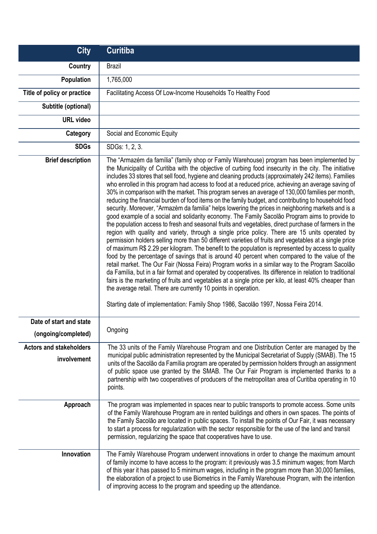| <b>City</b>                                    | <b>Curitiba</b>                                                                                                                                                                                                                                                                                                                                                                                                                                                                                                                                                                                                                                                                                                                                                                                                                                                                                                                                                                                                                                                                                                                                                                                                                                                                                                                                                                                                                                                                                                                                                                                                                                                                                                                                                                                                                                     |
|------------------------------------------------|-----------------------------------------------------------------------------------------------------------------------------------------------------------------------------------------------------------------------------------------------------------------------------------------------------------------------------------------------------------------------------------------------------------------------------------------------------------------------------------------------------------------------------------------------------------------------------------------------------------------------------------------------------------------------------------------------------------------------------------------------------------------------------------------------------------------------------------------------------------------------------------------------------------------------------------------------------------------------------------------------------------------------------------------------------------------------------------------------------------------------------------------------------------------------------------------------------------------------------------------------------------------------------------------------------------------------------------------------------------------------------------------------------------------------------------------------------------------------------------------------------------------------------------------------------------------------------------------------------------------------------------------------------------------------------------------------------------------------------------------------------------------------------------------------------------------------------------------------------|
| Country                                        | <b>Brazil</b>                                                                                                                                                                                                                                                                                                                                                                                                                                                                                                                                                                                                                                                                                                                                                                                                                                                                                                                                                                                                                                                                                                                                                                                                                                                                                                                                                                                                                                                                                                                                                                                                                                                                                                                                                                                                                                       |
| Population                                     | 1,765,000                                                                                                                                                                                                                                                                                                                                                                                                                                                                                                                                                                                                                                                                                                                                                                                                                                                                                                                                                                                                                                                                                                                                                                                                                                                                                                                                                                                                                                                                                                                                                                                                                                                                                                                                                                                                                                           |
| Title of policy or practice                    | Facilitating Access Of Low-Income Households To Healthy Food                                                                                                                                                                                                                                                                                                                                                                                                                                                                                                                                                                                                                                                                                                                                                                                                                                                                                                                                                                                                                                                                                                                                                                                                                                                                                                                                                                                                                                                                                                                                                                                                                                                                                                                                                                                        |
| Subtitle (optional)                            |                                                                                                                                                                                                                                                                                                                                                                                                                                                                                                                                                                                                                                                                                                                                                                                                                                                                                                                                                                                                                                                                                                                                                                                                                                                                                                                                                                                                                                                                                                                                                                                                                                                                                                                                                                                                                                                     |
| <b>URL</b> video                               |                                                                                                                                                                                                                                                                                                                                                                                                                                                                                                                                                                                                                                                                                                                                                                                                                                                                                                                                                                                                                                                                                                                                                                                                                                                                                                                                                                                                                                                                                                                                                                                                                                                                                                                                                                                                                                                     |
| Category                                       | Social and Economic Equity                                                                                                                                                                                                                                                                                                                                                                                                                                                                                                                                                                                                                                                                                                                                                                                                                                                                                                                                                                                                                                                                                                                                                                                                                                                                                                                                                                                                                                                                                                                                                                                                                                                                                                                                                                                                                          |
| <b>SDGs</b>                                    | SDGs: 1, 2, 3.                                                                                                                                                                                                                                                                                                                                                                                                                                                                                                                                                                                                                                                                                                                                                                                                                                                                                                                                                                                                                                                                                                                                                                                                                                                                                                                                                                                                                                                                                                                                                                                                                                                                                                                                                                                                                                      |
| <b>Brief description</b>                       | The "Armazém da família" (family shop or Family Warehouse) program has been implemented by<br>the Municipality of Curitiba with the objective of curbing food insecurity in the city. The initiative<br>includes 33 stores that sell food, hygiene and cleaning products (approximately 242 items). Families<br>who enrolled in this program had access to food at a reduced price, achieving an average saving of<br>30% in comparison with the market. This program serves an average of 130,000 families per month,<br>reducing the financial burden of food items on the family budget, and contributing to household food<br>security. Moreover, "Armazèm da familia" helps lowering the prices in neighboring markets and is a<br>good example of a social and solidarity economy. The Family Sacolão Program aims to provide to<br>the population access to fresh and seasonal fruits and vegetables, direct purchase of farmers in the<br>region with quality and variety, through a single price policy. There are 15 units operated by<br>permission holders selling more than 50 different varieties of fruits and vegetables at a single price<br>of maximum R\$ 2.29 per kilogram. The benefit to the population is represented by access to quality<br>food by the percentage of savings that is around 40 percent when compared to the value of the<br>retail market. The Our Fair (Nossa Feira) Program works in a similar way to the Program Sacolão<br>da Família, but in a fair format and operated by cooperatives. Its difference in relation to traditional<br>fairs is the marketing of fruits and vegetables at a single price per kilo, at least 40% cheaper than<br>the average retail. There are currently 10 points in operation.<br>Starting date of implementation: Family Shop 1986, Sacolão 1997, Nossa Feira 2014. |
| Date of start and state<br>(ongoing/completed) | Ongoing                                                                                                                                                                                                                                                                                                                                                                                                                                                                                                                                                                                                                                                                                                                                                                                                                                                                                                                                                                                                                                                                                                                                                                                                                                                                                                                                                                                                                                                                                                                                                                                                                                                                                                                                                                                                                                             |
| <b>Actors and stakeholders</b><br>involvement  | The 33 units of the Family Warehouse Program and one Distribution Center are managed by the<br>municipal public administration represented by the Municipal Secretariat of Supply (SMAB). The 15<br>units of the Sacolão da Família program are operated by permission holders through an assignment<br>of public space use granted by the SMAB. The Our Fair Program is implemented thanks to a<br>partnership with two cooperatives of producers of the metropolitan area of Curitiba operating in 10<br>points.                                                                                                                                                                                                                                                                                                                                                                                                                                                                                                                                                                                                                                                                                                                                                                                                                                                                                                                                                                                                                                                                                                                                                                                                                                                                                                                                  |
| Approach                                       | The program was implemented in spaces near to public transports to promote access. Some units<br>of the Family Warehouse Program are in rented buildings and others in own spaces. The points of<br>the Family Sacolão are located in public spaces. To install the points of Our Fair, it was necessary<br>to start a process for regularization with the sector responsible for the use of the land and transit<br>permission, regularizing the space that cooperatives have to use.                                                                                                                                                                                                                                                                                                                                                                                                                                                                                                                                                                                                                                                                                                                                                                                                                                                                                                                                                                                                                                                                                                                                                                                                                                                                                                                                                              |
| Innovation                                     | The Family Warehouse Program underwent innovations in order to change the maximum amount<br>of family income to have access to the program: it previously was 3.5 minimum wages; from March<br>of this year it has passed to 5 minimum wages, including in the program more than 30,000 families,<br>the elaboration of a project to use Biometrics in the Family Warehouse Program, with the intention<br>of improving access to the program and speeding up the attendance.                                                                                                                                                                                                                                                                                                                                                                                                                                                                                                                                                                                                                                                                                                                                                                                                                                                                                                                                                                                                                                                                                                                                                                                                                                                                                                                                                                       |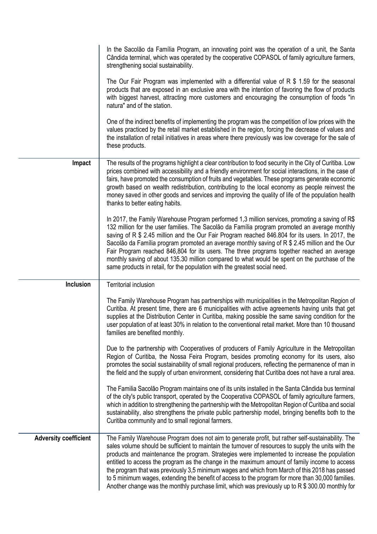|                              | In the Sacolão da Família Program, an innovating point was the operation of a unit, the Santa<br>Cândida terminal, which was operated by the cooperative COPASOL of family agriculture farmers,<br>strengthening social sustainability.                                                                                                                                                                                                                                                                                                                                                                                                                                                                                |
|------------------------------|------------------------------------------------------------------------------------------------------------------------------------------------------------------------------------------------------------------------------------------------------------------------------------------------------------------------------------------------------------------------------------------------------------------------------------------------------------------------------------------------------------------------------------------------------------------------------------------------------------------------------------------------------------------------------------------------------------------------|
|                              | The Our Fair Program was implemented with a differential value of $R$ \$ 1.59 for the seasonal<br>products that are exposed in an exclusive area with the intention of favoring the flow of products<br>with biggest harvest, attracting more customers and encouraging the consumption of foods "in<br>natura" and of the station.                                                                                                                                                                                                                                                                                                                                                                                    |
|                              | One of the indirect benefits of implementing the program was the competition of low prices with the<br>values practiced by the retail market established in the region, forcing the decrease of values and<br>the installation of retail initiatives in areas where there previously was low coverage for the sale of<br>these products.                                                                                                                                                                                                                                                                                                                                                                               |
| Impact                       | The results of the programs highlight a clear contribution to food security in the City of Curitiba. Low<br>prices combined with accessibility and a friendly environment for social interactions, in the case of<br>fairs, have promoted the consumption of fruits and vegetables. These programs generate economic<br>growth based on wealth redistribution, contributing to the local economy as people reinvest the<br>money saved in other goods and services and improving the quality of life of the population health<br>thanks to better eating habits.                                                                                                                                                       |
|                              | In 2017, the Family Warehouse Program performed 1,3 million services, promoting a saving of R\$<br>132 million for the user families. The Sacolão da Família program promoted an average monthly<br>saving of R \$ 2.45 million and the Our Fair Program reached 846.804 for its users. In 2017, the<br>Sacolão da Família program promoted an average monthly saving of R \$ 2.45 million and the Our<br>Fair Program reached 846,804 for its users. The three programs together reached an average<br>monthly saving of about 135.30 million compared to what would be spent on the purchase of the<br>same products in retail, for the population with the greatest social need.                                    |
| <b>Inclusion</b>             | <b>Territorial inclusion</b>                                                                                                                                                                                                                                                                                                                                                                                                                                                                                                                                                                                                                                                                                           |
|                              | The Family Warehouse Program has partnerships with municipalities in the Metropolitan Region of<br>Curitiba. At present time, there are 6 municipalities with active agreements having units that get<br>supplies at the Distribution Center in Curitiba, making possible the same saving condition for the<br>user population of at least 30% in relation to the conventional retail market. More than 10 thousand<br>families are benefited monthly.                                                                                                                                                                                                                                                                 |
|                              | Due to the partnership with Cooperatives of producers of Family Agriculture in the Metropolitan<br>Region of Curitiba, the Nossa Feira Program, besides promoting economy for its users, also<br>promotes the social sustainability of small regional producers, reflecting the permanence of man in<br>the field and the supply of urban environment, considering that Curitiba does not have a rural area.                                                                                                                                                                                                                                                                                                           |
|                              | The Familia Sacolão Program maintains one of its units installed in the Santa Cândida bus terminal<br>of the city's public transport, operated by the Cooperativa COPASOL of family agriculture farmers,<br>which in addition to strengthening the partnership with the Metropolitan Region of Curitiba and social<br>sustainability, also strengthens the private public partnership model, bringing benefits both to the<br>Curitiba community and to small regional farmers.                                                                                                                                                                                                                                        |
| <b>Adversity coefficient</b> | The Family Warehouse Program does not aim to generate profit, but rather self-sustainability. The<br>sales volume should be sufficient to maintain the turnover of resources to supply the units with the<br>products and maintenance the program. Strategies were implemented to increase the population<br>entitled to access the program as the change in the maximum amount of family income to access<br>the program that was previously 3,5 minimum wages and which from March of this 2018 has passed<br>to 5 minimum wages, extending the benefit of access to the program for more than 30,000 families.<br>Another change was the monthly purchase limit, which was previously up to R \$ 300.00 monthly for |